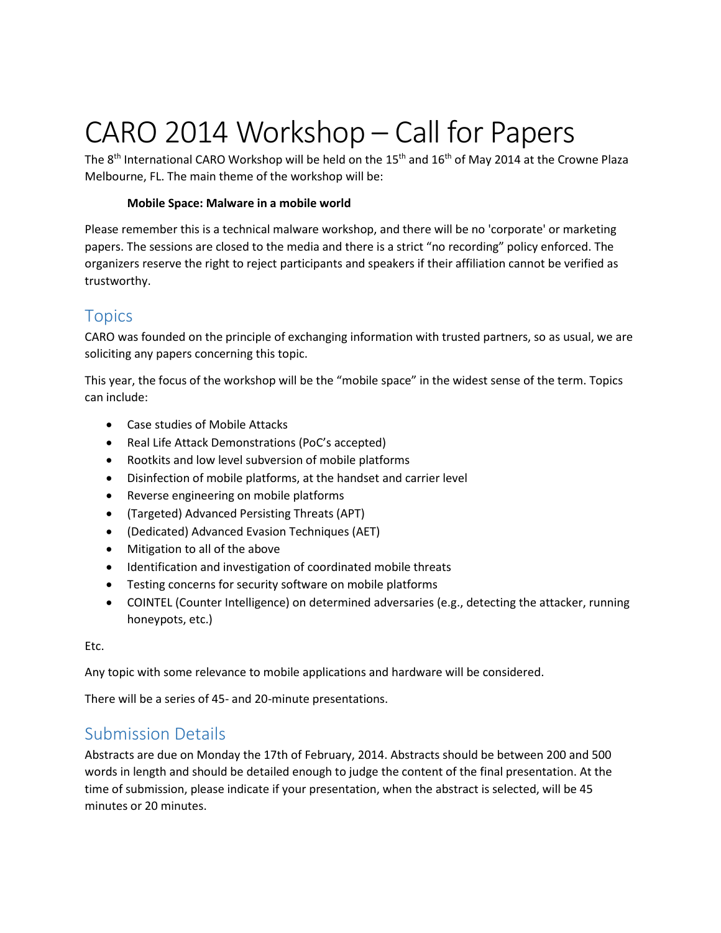# CARO 2014 Workshop – Call for Papers

The 8<sup>th</sup> International CARO Workshop will be held on the 15<sup>th</sup> and 16<sup>th</sup> of May 2014 at the Crowne Plaza Melbourne, FL. The main theme of the workshop will be:

#### **Mobile Space: Malware in a mobile world**

Please remember this is a technical malware workshop, and there will be no 'corporate' or marketing papers. The sessions are closed to the media and there is a strict "no recording" policy enforced. The organizers reserve the right to reject participants and speakers if their affiliation cannot be verified as trustworthy.

# **Topics**

CARO was founded on the principle of exchanging information with trusted partners, so as usual, we are soliciting any papers concerning this topic.

This year, the focus of the workshop will be the "mobile space" in the widest sense of the term. Topics can include:

- Case studies of Mobile Attacks
- Real Life Attack Demonstrations (PoC's accepted)
- Rootkits and low level subversion of mobile platforms
- Disinfection of mobile platforms, at the handset and carrier level
- Reverse engineering on mobile platforms
- (Targeted) Advanced Persisting Threats (APT)
- (Dedicated) Advanced Evasion Techniques (AET)
- Mitigation to all of the above
- Identification and investigation of coordinated mobile threats
- Testing concerns for security software on mobile platforms
- COINTEL (Counter Intelligence) on determined adversaries (e.g., detecting the attacker, running honeypots, etc.)

Etc.

Any topic with some relevance to mobile applications and hardware will be considered.

There will be a series of 45- and 20-minute presentations.

## Submission Details

Abstracts are due on Monday the 17th of February, 2014. Abstracts should be between 200 and 500 words in length and should be detailed enough to judge the content of the final presentation. At the time of submission, please indicate if your presentation, when the abstract is selected, will be 45 minutes or 20 minutes.